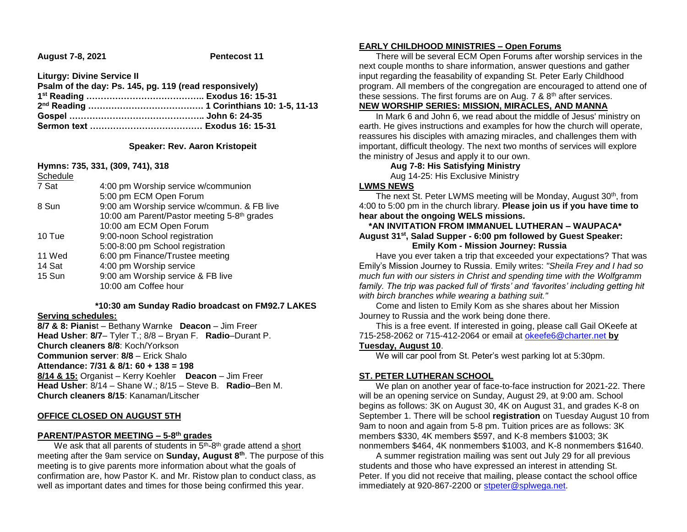**August 7-8, 2021 Pentecost 11**

**Liturgy: Divine Service II**

| Psalm of the day: Ps. 145, pg. 119 (read responsively) |  |
|--------------------------------------------------------|--|
|                                                        |  |
|                                                        |  |
|                                                        |  |
|                                                        |  |

## **Speaker: Rev. Aaron Kristopeit**

**Hymns: 735, 331, (309, 741), 318** Schedule

| Scriedule |                                             |
|-----------|---------------------------------------------|
| 7 Sat     | 4:00 pm Worship service w/communion         |
|           | 5:00 pm ECM Open Forum                      |
| 8 Sun     | 9:00 am Worship service w/commun. & FB live |
|           | 10:00 am Parent/Pastor meeting 5-8th grades |
|           | 10:00 am ECM Open Forum                     |
| 10 Tue    | 9:00-noon School registration               |
|           | 5:00-8:00 pm School registration            |
| 11 Wed    | 6:00 pm Finance/Trustee meeting             |
| 14 Sat    | 4:00 pm Worship service                     |
| 15 Sun    | 9:00 am Worship service & FB live           |
|           | 10:00 am Coffee hour                        |
|           |                                             |

#### **\*10:30 am Sunday Radio broadcast on FM92.7 LAKES**

#### **Serving schedules:**

**8/7 & 8: Pianis**t – Bethany Warnke **Deacon** – Jim Freer **Head Usher**: **8/7**– Tyler T.; 8/8 – Bryan F. **Radio**–Durant P. **Church cleaners 8/8**: Koch/Yorkson **Communion server**: **8/8** – Erick Shalo **Attendance: 7/31 & 8/1: 60 + 138 = 198 8/14 & 15:** Organist – Kerry Koehler **Deacon** – Jim Freer **Head Usher**: 8/14 – Shane W.; 8/15 – Steve B. **Radio**–Ben M. **Church cleaners 8/15**: Kanaman/Litscher

#### **OFFICE CLOSED ON AUGUST 5TH**

## **PARENT/PASTOR MEETING – 5-8 th grades**

We ask that all parents of students in 5<sup>th</sup>-8<sup>th</sup> grade attend a short meeting after the 9am service on **Sunday, August 8th**. The purpose of this meeting is to give parents more information about what the goals of confirmation are, how Pastor K. and Mr. Ristow plan to conduct class, as well as important dates and times for those being confirmed this year.

### **EARLY CHILDHOOD MINISTRIES – Open Forums**

 There will be several ECM Open Forums after worship services in the next couple months to share information, answer questions and gather input regarding the feasability of expanding St. Peter Early Childhood program. All members of the congregation are encouraged to attend one of these sessions. The first forums are on Aug.  $7 \& 8$ <sup>th</sup> after services.

# **NEW WORSHIP SERIES: MISSION, MIRACLES, AND MANNA**

 In Mark 6 and John 6, we read about the middle of Jesus' ministry on earth. He gives instructions and examples for how the church will operate, reassures his disciples with amazing miracles, and challenges them with important, difficult theology. The next two months of services will explore the ministry of Jesus and apply it to our own.

**Aug 7-8: His Satisfying Ministry** Aug 14-25: His Exclusive Ministry

## **LWMS NEWS**

The next St. Peter LWMS meeting will be Monday, August 30<sup>th</sup>, from 4:00 to 5:00 pm in the church library. **Please join us if you have time to hear about the ongoing WELS missions.**

### **\*AN INVITATION FROM IMMANUEL LUTHERAN – WAUPACA\* August 31st, Salad Supper - 6:00 pm followed by Guest Speaker: Emily Kom - Mission Journey: Russia**

 Have you ever taken a trip that exceeded your expectations? That was Emily's Mission Journey to Russia. Emily writes: *"Sheila Frey and I had so much fun with our sisters in Christ and spending time with the Wolfgramm* family. The trip was packed full of 'firsts' and 'favorites' including getting hit *with birch branches while wearing a bathing suit."*

 Come and listen to Emily Kom as she shares about her Mission Journey to Russia and the work being done there.

 This is a free event. If interested in going, please call Gail OKeefe at 715-258-2062 or 715-412-2064 or email at [okeefe6@charter.net](mailto:okeefe6@charter.net) **by** 

#### **Tuesday, August 10**.

We will car pool from St. Peter's west parking lot at 5:30pm.

## **ST. PETER LUTHERAN SCHOOL**

 We plan on another year of face-to-face instruction for 2021-22. There will be an opening service on Sunday, August 29, at 9:00 am. School begins as follows: 3K on August 30, 4K on August 31, and grades K-8 on September 1. There will be school **registration** on Tuesday August 10 from 9am to noon and again from 5-8 pm. Tuition prices are as follows: 3K members \$330, 4K members \$597, and K-8 members \$1003; 3K nonmembers \$464, 4K nonmembers \$1003, and K-8 nonmembers \$1640.

 A summer registration mailing was sent out July 29 for all previous students and those who have expressed an interest in attending St. Peter. If you did not receive that mailing, please contact the school office immediately at 920-867-2200 or [stpeter@splwega.net.](mailto:stpeter@splwega.net)